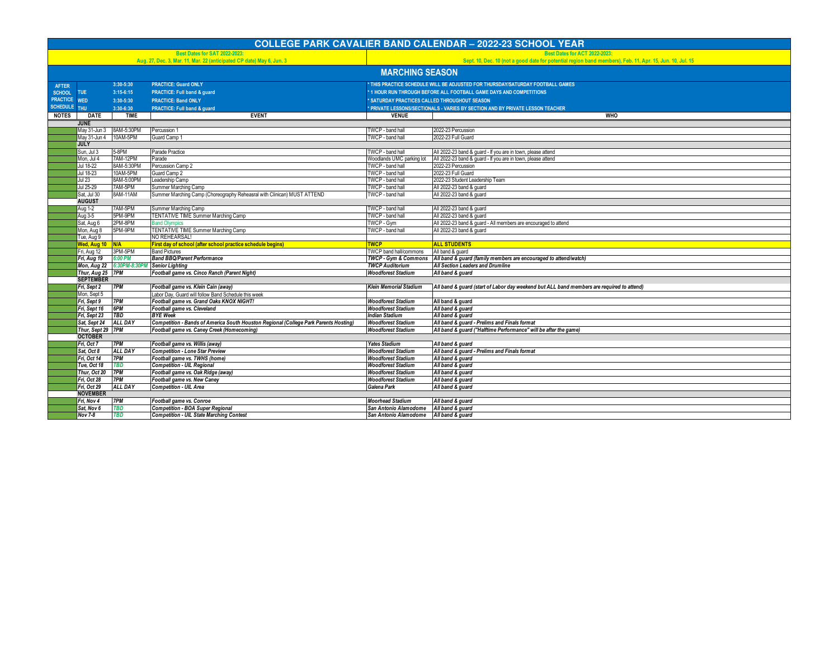| <b>Best Dates for SAT 2022-2023:</b><br><b>Best Dates for ACT 2022-2023:</b><br>Aug. 27, Dec. 3, Mar. 11, Mar. 22 (anticipated CP date) May 6, Jun. 3<br><b>MARCHING SEASON</b><br>3:30-5:30<br><b>PRACTICE: Guard ONLY</b><br>THIS PRACTICE SCHEDULE WILL BE ADJUSTED FOR THURSDAY/SATURDAY FOOTBALL GAMES<br><b>AFTER</b><br>1 HOUR RUN THROUGH BEFORE ALL FOOTBALL GAME DAYS AND COMPETITIONS<br><b>TUE</b><br>$3:15-6:15$<br>PRACTICE: Full band & guard<br><b>SCHOOL</b><br><b>PRACTICE</b><br><b>SATURDAY PRACTICES CALLED THROUGHOUT SEASON</b><br><b>WED</b><br>3:30-5:30<br><b>PRACTICE: Band ONLY</b><br>SCHEDULE THU<br>3:30-6:30<br>PRACTICE: Full band & guard<br>PRIVATE LESSONS/SECTIONALS - VARIES BY SECTION AND BY PRIVATE LESSON TEACHER<br><b>EVENT</b><br>NOTES  <br><b>DATE</b><br><b>TIME</b><br><b>VENUE</b><br><b>WHO</b><br><b>JUNE</b><br>8AM-5:30PM<br>May 31-Jun 3<br>Percussion <sup>.</sup><br>TWCP - band hall<br>2022-23 Percussion<br>10AM-5PM<br>Guard Camp 1<br>TWCP - band hall<br>2022-23 Full Guard<br>May 31-Jun 4<br><b>JULY</b><br>Sun, Jul 3<br>5-8PM<br>Parade Practice<br>TWCP - band hall<br>All 2022-23 band & guard - If you are in town, please attend<br>7AM-12PM<br>Mon, Jul 4<br>Parade<br>Woodlands UMC parking lot<br>All 2022-23 band & guard - If you are in town, please attend | <b>COLLEGE PARK CAVALIER BAND CALENDAR - 2022-23 SCHOOL YEAR</b>                                          |  |  |  |  |  |  |  |
|------------------------------------------------------------------------------------------------------------------------------------------------------------------------------------------------------------------------------------------------------------------------------------------------------------------------------------------------------------------------------------------------------------------------------------------------------------------------------------------------------------------------------------------------------------------------------------------------------------------------------------------------------------------------------------------------------------------------------------------------------------------------------------------------------------------------------------------------------------------------------------------------------------------------------------------------------------------------------------------------------------------------------------------------------------------------------------------------------------------------------------------------------------------------------------------------------------------------------------------------------------------------------------------------------------------------------------------|-----------------------------------------------------------------------------------------------------------|--|--|--|--|--|--|--|
|                                                                                                                                                                                                                                                                                                                                                                                                                                                                                                                                                                                                                                                                                                                                                                                                                                                                                                                                                                                                                                                                                                                                                                                                                                                                                                                                          |                                                                                                           |  |  |  |  |  |  |  |
|                                                                                                                                                                                                                                                                                                                                                                                                                                                                                                                                                                                                                                                                                                                                                                                                                                                                                                                                                                                                                                                                                                                                                                                                                                                                                                                                          | Sept. 10, Dec. 10 (not a good date for potential region band members), Feb. 11, Apr. 15, Jun. 10, Jul. 15 |  |  |  |  |  |  |  |
|                                                                                                                                                                                                                                                                                                                                                                                                                                                                                                                                                                                                                                                                                                                                                                                                                                                                                                                                                                                                                                                                                                                                                                                                                                                                                                                                          |                                                                                                           |  |  |  |  |  |  |  |
|                                                                                                                                                                                                                                                                                                                                                                                                                                                                                                                                                                                                                                                                                                                                                                                                                                                                                                                                                                                                                                                                                                                                                                                                                                                                                                                                          |                                                                                                           |  |  |  |  |  |  |  |
|                                                                                                                                                                                                                                                                                                                                                                                                                                                                                                                                                                                                                                                                                                                                                                                                                                                                                                                                                                                                                                                                                                                                                                                                                                                                                                                                          |                                                                                                           |  |  |  |  |  |  |  |
|                                                                                                                                                                                                                                                                                                                                                                                                                                                                                                                                                                                                                                                                                                                                                                                                                                                                                                                                                                                                                                                                                                                                                                                                                                                                                                                                          |                                                                                                           |  |  |  |  |  |  |  |
|                                                                                                                                                                                                                                                                                                                                                                                                                                                                                                                                                                                                                                                                                                                                                                                                                                                                                                                                                                                                                                                                                                                                                                                                                                                                                                                                          |                                                                                                           |  |  |  |  |  |  |  |
|                                                                                                                                                                                                                                                                                                                                                                                                                                                                                                                                                                                                                                                                                                                                                                                                                                                                                                                                                                                                                                                                                                                                                                                                                                                                                                                                          |                                                                                                           |  |  |  |  |  |  |  |
|                                                                                                                                                                                                                                                                                                                                                                                                                                                                                                                                                                                                                                                                                                                                                                                                                                                                                                                                                                                                                                                                                                                                                                                                                                                                                                                                          |                                                                                                           |  |  |  |  |  |  |  |
|                                                                                                                                                                                                                                                                                                                                                                                                                                                                                                                                                                                                                                                                                                                                                                                                                                                                                                                                                                                                                                                                                                                                                                                                                                                                                                                                          |                                                                                                           |  |  |  |  |  |  |  |
|                                                                                                                                                                                                                                                                                                                                                                                                                                                                                                                                                                                                                                                                                                                                                                                                                                                                                                                                                                                                                                                                                                                                                                                                                                                                                                                                          |                                                                                                           |  |  |  |  |  |  |  |
|                                                                                                                                                                                                                                                                                                                                                                                                                                                                                                                                                                                                                                                                                                                                                                                                                                                                                                                                                                                                                                                                                                                                                                                                                                                                                                                                          |                                                                                                           |  |  |  |  |  |  |  |
|                                                                                                                                                                                                                                                                                                                                                                                                                                                                                                                                                                                                                                                                                                                                                                                                                                                                                                                                                                                                                                                                                                                                                                                                                                                                                                                                          |                                                                                                           |  |  |  |  |  |  |  |
|                                                                                                                                                                                                                                                                                                                                                                                                                                                                                                                                                                                                                                                                                                                                                                                                                                                                                                                                                                                                                                                                                                                                                                                                                                                                                                                                          |                                                                                                           |  |  |  |  |  |  |  |
| 8AM-5:30PM<br>TWCP - band hall<br>Jul 18-22<br>Percussion Camp 2<br>2022-23 Percussion                                                                                                                                                                                                                                                                                                                                                                                                                                                                                                                                                                                                                                                                                                                                                                                                                                                                                                                                                                                                                                                                                                                                                                                                                                                   |                                                                                                           |  |  |  |  |  |  |  |
| 10AM-5PM<br>Jul 18-23<br>Guard Camp 2<br>TWCP - band hall<br>2022-23 Full Guard                                                                                                                                                                                                                                                                                                                                                                                                                                                                                                                                                                                                                                                                                                                                                                                                                                                                                                                                                                                                                                                                                                                                                                                                                                                          |                                                                                                           |  |  |  |  |  |  |  |
| 2022-23 Student Leadership Team<br>Jul 23<br>8AM-5:00PM<br>Leadership Camp<br>TWCP - band hall                                                                                                                                                                                                                                                                                                                                                                                                                                                                                                                                                                                                                                                                                                                                                                                                                                                                                                                                                                                                                                                                                                                                                                                                                                           |                                                                                                           |  |  |  |  |  |  |  |
| Jul 25-29<br>7AM-5PM<br>TWCP - band hall<br>Summer Marching Camp<br>All 2022-23 band & guard                                                                                                                                                                                                                                                                                                                                                                                                                                                                                                                                                                                                                                                                                                                                                                                                                                                                                                                                                                                                                                                                                                                                                                                                                                             |                                                                                                           |  |  |  |  |  |  |  |
| BAM-11AM<br>Summer Marching Camp (Choreography Reheasral with Clinican) MUST ATTEND<br>All 2022-23 band & guard<br>Sat. Jul 30<br>TWCP - band hall                                                                                                                                                                                                                                                                                                                                                                                                                                                                                                                                                                                                                                                                                                                                                                                                                                                                                                                                                                                                                                                                                                                                                                                       |                                                                                                           |  |  |  |  |  |  |  |
| <b>AUGUST</b>                                                                                                                                                                                                                                                                                                                                                                                                                                                                                                                                                                                                                                                                                                                                                                                                                                                                                                                                                                                                                                                                                                                                                                                                                                                                                                                            |                                                                                                           |  |  |  |  |  |  |  |
| <b>Aug 1-2</b><br>Summer Marching Camp<br>7AM-5PM<br>TWCP - band hall<br>All 2022-23 band & quard<br>5PM-9PM<br>TENTATIVE TIME Summer Marching Camp<br>TWCP - band hall<br>All 2022-23 band & quard                                                                                                                                                                                                                                                                                                                                                                                                                                                                                                                                                                                                                                                                                                                                                                                                                                                                                                                                                                                                                                                                                                                                      |                                                                                                           |  |  |  |  |  |  |  |
| Aug 3-5<br>2PM-8PM<br>All 2022-23 band & guard - All members are encouraged to attend<br>Sat, Aug 6<br><b>Band Olympics</b><br>TWCP - Gym                                                                                                                                                                                                                                                                                                                                                                                                                                                                                                                                                                                                                                                                                                                                                                                                                                                                                                                                                                                                                                                                                                                                                                                                |                                                                                                           |  |  |  |  |  |  |  |
| 5PM-9PM<br>TENTATIVE TIME Summer Marching Camp<br>TWCP - band hall<br>All 2022-23 band & guard<br>Vion, Aug 8                                                                                                                                                                                                                                                                                                                                                                                                                                                                                                                                                                                                                                                                                                                                                                                                                                                                                                                                                                                                                                                                                                                                                                                                                            |                                                                                                           |  |  |  |  |  |  |  |
| NO REHEARSAL!<br>Tue, Aug 9                                                                                                                                                                                                                                                                                                                                                                                                                                                                                                                                                                                                                                                                                                                                                                                                                                                                                                                                                                                                                                                                                                                                                                                                                                                                                                              |                                                                                                           |  |  |  |  |  |  |  |
| <b>ALL STUDENTS</b><br><b>Ned, Aug 10 N/A</b><br>First day of school (after school practice schedule begins)<br><b>TWCP</b>                                                                                                                                                                                                                                                                                                                                                                                                                                                                                                                                                                                                                                                                                                                                                                                                                                                                                                                                                                                                                                                                                                                                                                                                              |                                                                                                           |  |  |  |  |  |  |  |
| 3PM-5PM<br>Fri, Aug 12<br><b>Band Pictures</b><br><b>TWCP</b> band hall/commons<br>All band & quard                                                                                                                                                                                                                                                                                                                                                                                                                                                                                                                                                                                                                                                                                                                                                                                                                                                                                                                                                                                                                                                                                                                                                                                                                                      |                                                                                                           |  |  |  |  |  |  |  |
| <b>Band BBQ/Parent Performance</b><br><b>TWCP - Gym &amp; Commons</b><br>6:00 PM<br>All band & guard (family members are encouraged to attend/watch)<br>Fri, Aug 19                                                                                                                                                                                                                                                                                                                                                                                                                                                                                                                                                                                                                                                                                                                                                                                                                                                                                                                                                                                                                                                                                                                                                                      |                                                                                                           |  |  |  |  |  |  |  |
| Mon, Aug 22 6:30PM-8:30PM Senior Lighting<br><b>TWCP Auditorium</b><br>All Section Leaders and Drumline                                                                                                                                                                                                                                                                                                                                                                                                                                                                                                                                                                                                                                                                                                                                                                                                                                                                                                                                                                                                                                                                                                                                                                                                                                  |                                                                                                           |  |  |  |  |  |  |  |
| Thur, Aug 25 7PM<br>Football game vs. Cinco Ranch (Parent Night)<br><b>Woodforest Stadium</b><br>All band & guard                                                                                                                                                                                                                                                                                                                                                                                                                                                                                                                                                                                                                                                                                                                                                                                                                                                                                                                                                                                                                                                                                                                                                                                                                        |                                                                                                           |  |  |  |  |  |  |  |
| <b>SEPTEMBER</b>                                                                                                                                                                                                                                                                                                                                                                                                                                                                                                                                                                                                                                                                                                                                                                                                                                                                                                                                                                                                                                                                                                                                                                                                                                                                                                                         |                                                                                                           |  |  |  |  |  |  |  |
| Football game vs. Klein Cain (away)<br>Fri, Sept 2<br>7PM<br><b>Klein Memorial Stadium</b><br>All band & guard (start of Labor day weekend but ALL band members are required to attend)                                                                                                                                                                                                                                                                                                                                                                                                                                                                                                                                                                                                                                                                                                                                                                                                                                                                                                                                                                                                                                                                                                                                                  |                                                                                                           |  |  |  |  |  |  |  |
| Labor Day, Guard will follow Band Schedule this week<br>Mon, Sept 5                                                                                                                                                                                                                                                                                                                                                                                                                                                                                                                                                                                                                                                                                                                                                                                                                                                                                                                                                                                                                                                                                                                                                                                                                                                                      |                                                                                                           |  |  |  |  |  |  |  |
| Football game vs. Grand Oaks KNOX NIGHT!<br>7PM<br><b>Woodforest Stadium</b><br>Fri, Sept 9<br>All band & guard                                                                                                                                                                                                                                                                                                                                                                                                                                                                                                                                                                                                                                                                                                                                                                                                                                                                                                                                                                                                                                                                                                                                                                                                                          |                                                                                                           |  |  |  |  |  |  |  |
| 6PM<br>Fri, Sept 16<br>Football game vs. Cleveland<br><b>Woodforest Stadium</b><br>All band & guard                                                                                                                                                                                                                                                                                                                                                                                                                                                                                                                                                                                                                                                                                                                                                                                                                                                                                                                                                                                                                                                                                                                                                                                                                                      |                                                                                                           |  |  |  |  |  |  |  |
| <b>BYE</b> Week<br>Fri, Sept 23<br>TBD<br><b>Indian Stadium</b><br>All band & guard                                                                                                                                                                                                                                                                                                                                                                                                                                                                                                                                                                                                                                                                                                                                                                                                                                                                                                                                                                                                                                                                                                                                                                                                                                                      |                                                                                                           |  |  |  |  |  |  |  |
| Sat, Sept 24<br><b>ALL DAY</b><br>Competition - Bands of America South Houston Regional (College Park Parents Hosting)<br><b>Woodforest Stadium</b><br>All band & guard - Prelims and Finals format                                                                                                                                                                                                                                                                                                                                                                                                                                                                                                                                                                                                                                                                                                                                                                                                                                                                                                                                                                                                                                                                                                                                      |                                                                                                           |  |  |  |  |  |  |  |
| All band & guard ("Halftime Performance" will be after the game)<br>Thur, Sept 29 7PM<br>Football game vs. Caney Creek (Homecoming)<br><b>Woodforest Stadium</b><br><b>OCTOBER</b>                                                                                                                                                                                                                                                                                                                                                                                                                                                                                                                                                                                                                                                                                                                                                                                                                                                                                                                                                                                                                                                                                                                                                       |                                                                                                           |  |  |  |  |  |  |  |
| Football game vs. Willis (away)<br>Fri, Oct 7<br>7PM<br><b>Yates Stadium</b><br>All band & guard                                                                                                                                                                                                                                                                                                                                                                                                                                                                                                                                                                                                                                                                                                                                                                                                                                                                                                                                                                                                                                                                                                                                                                                                                                         |                                                                                                           |  |  |  |  |  |  |  |
| ALL DAY<br><b>Competition - Lone Star Preview</b><br>Sat, Oct 8<br><b>Woodforest Stadium</b><br>All band & guard - Prelims and Finals format                                                                                                                                                                                                                                                                                                                                                                                                                                                                                                                                                                                                                                                                                                                                                                                                                                                                                                                                                                                                                                                                                                                                                                                             |                                                                                                           |  |  |  |  |  |  |  |
| Football game vs. TWHS (home)<br>Fri, Oct 14<br>7PM<br><b>Woodforest Stadium</b><br>All band & guard                                                                                                                                                                                                                                                                                                                                                                                                                                                                                                                                                                                                                                                                                                                                                                                                                                                                                                                                                                                                                                                                                                                                                                                                                                     |                                                                                                           |  |  |  |  |  |  |  |
| Tue. Oct 18<br>TBD<br><b>Competition - UIL Regional</b><br><b>Woodforest Stadium</b><br>All band & guard                                                                                                                                                                                                                                                                                                                                                                                                                                                                                                                                                                                                                                                                                                                                                                                                                                                                                                                                                                                                                                                                                                                                                                                                                                 |                                                                                                           |  |  |  |  |  |  |  |
| Thur, Oct 20<br>7PM<br>Football game vs. Oak Ridge (away)<br>All band & guard<br><b>Woodforest Stadium</b>                                                                                                                                                                                                                                                                                                                                                                                                                                                                                                                                                                                                                                                                                                                                                                                                                                                                                                                                                                                                                                                                                                                                                                                                                               |                                                                                                           |  |  |  |  |  |  |  |
| <b>7PM</b><br>Football game vs. New Caney<br>Fri, Oct 28<br><b>Woodforest Stadium</b><br>All band & guard                                                                                                                                                                                                                                                                                                                                                                                                                                                                                                                                                                                                                                                                                                                                                                                                                                                                                                                                                                                                                                                                                                                                                                                                                                |                                                                                                           |  |  |  |  |  |  |  |
| Fri, Oct 29<br>ALL DAY<br><b>Competition - UIL Area</b><br>Galena Park<br>All band & guard                                                                                                                                                                                                                                                                                                                                                                                                                                                                                                                                                                                                                                                                                                                                                                                                                                                                                                                                                                                                                                                                                                                                                                                                                                               |                                                                                                           |  |  |  |  |  |  |  |
| <b>NOVEMBER</b>                                                                                                                                                                                                                                                                                                                                                                                                                                                                                                                                                                                                                                                                                                                                                                                                                                                                                                                                                                                                                                                                                                                                                                                                                                                                                                                          |                                                                                                           |  |  |  |  |  |  |  |
| 7PM<br>Football game vs. Conroe<br><b>Moorhead Stadium</b><br>Fri, Nov 4<br>All band & guard                                                                                                                                                                                                                                                                                                                                                                                                                                                                                                                                                                                                                                                                                                                                                                                                                                                                                                                                                                                                                                                                                                                                                                                                                                             |                                                                                                           |  |  |  |  |  |  |  |
| Sat, Nov 6<br>TBD<br><b>Competition - BOA Super Regional</b><br>San Antonio Alamodome<br>All band & guard                                                                                                                                                                                                                                                                                                                                                                                                                                                                                                                                                                                                                                                                                                                                                                                                                                                                                                                                                                                                                                                                                                                                                                                                                                |                                                                                                           |  |  |  |  |  |  |  |
| <b>Competition - UIL State Marching Contest</b><br>Nov 7-8<br>TBD<br>San Antonio Alamodome<br>All band & guard                                                                                                                                                                                                                                                                                                                                                                                                                                                                                                                                                                                                                                                                                                                                                                                                                                                                                                                                                                                                                                                                                                                                                                                                                           |                                                                                                           |  |  |  |  |  |  |  |